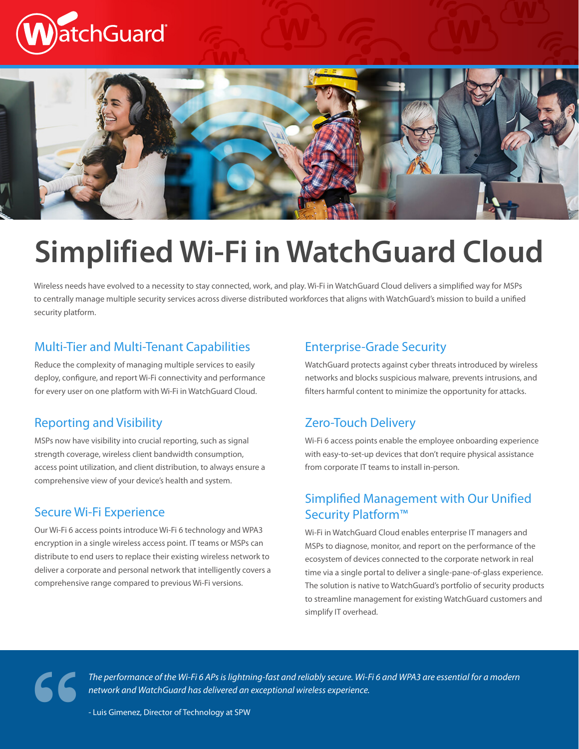



# **Simplified Wi-Fi in WatchGuard Cloud**

Wireless needs have evolved to a necessity to stay connected, work, and play. Wi-Fi in WatchGuard Cloud delivers a simplified way for MSPs to centrally manage multiple security services across diverse distributed workforces that aligns with WatchGuard's mission to build a unified security platform.

#### Multi-Tier and Multi-Tenant Capabilities

Reduce the complexity of managing multiple services to easily deploy, configure, and report Wi-Fi connectivity and performance for every user on one platform with Wi-Fi in WatchGuard Cloud.

#### Reporting and Visibility

MSPs now have visibility into crucial reporting, such as signal strength coverage, wireless client bandwidth consumption, access point utilization, and client distribution, to always ensure a comprehensive view of your device's health and system.

#### Secure Wi-Fi Experience

Our Wi-Fi 6 access points introduce Wi-Fi 6 technology and WPA3 encryption in a single wireless access point. IT teams or MSPs can distribute to end users to replace their existing wireless network to deliver a corporate and personal network that intelligently covers a comprehensive range compared to previous Wi-Fi versions.

#### Enterprise-Grade Security

WatchGuard protects against cyber threats introduced by wireless networks and blocks suspicious malware, prevents intrusions, and filters harmful content to minimize the opportunity for attacks.

#### Zero-Touch Delivery

Wi-Fi 6 access points enable the employee onboarding experience with easy-to-set-up devices that don't require physical assistance from corporate IT teams to install in-person.

#### Simplified Management with Our Unified Security Platform™

Wi-Fi in WatchGuard Cloud enables enterprise IT managers and MSPs to diagnose, monitor, and report on the performance of the ecosystem of devices connected to the corporate network in real time via a single portal to deliver a single-pane-of-glass experience. The solution is native to WatchGuard's portfolio of security products to streamline management for existing WatchGuard customers and simplify IT overhead.

*The performance of the Wi-Fi 6 APs is lightning-fast and reliably secure. Wi-Fi 6 and WPA3 are essential for a modern*  The performance of the Wi-Fi 6 APs is lightning-fast and reliably secure. Wi-F<br>network and WatchGuard has delivered an exceptional wireless experience.<br>- Luis Gimenez, Director of Technology at SPW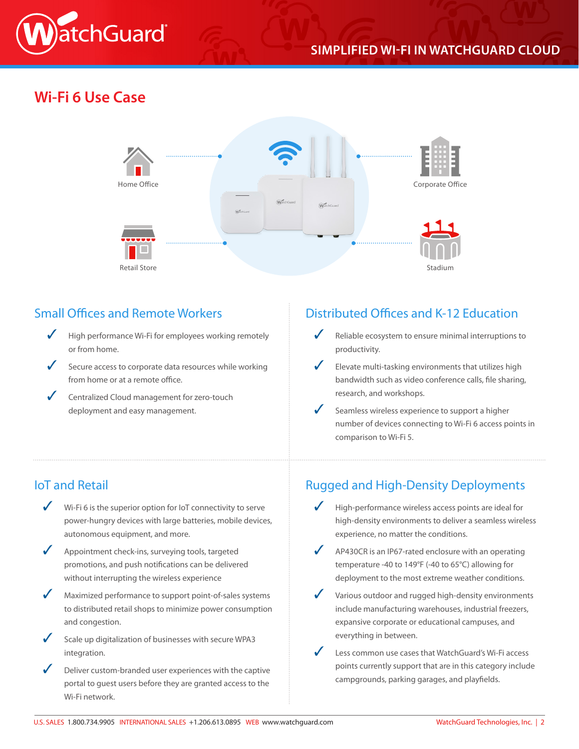

## **SIMPLIFIED WI-FI IN WATCHGUARD CLOUD**

# **Wi-Fi 6 Use Case**



#### Small Offices and Remote Workers

- High performance Wi-Fi for employees working remotely or from home.
- Secure access to corporate data resources while working from home or at a remote office.
- ✓ Centralized Cloud management for zero-touch deployment and easy management.

#### Distributed Offices and K-12 Education

- Reliable ecosystem to ensure minimal interruptions to productivity.
- Elevate multi-tasking environments that utilizes high bandwidth such as video conference calls, file sharing, research, and workshops.
- Seamless wireless experience to support a higher number of devices connecting to Wi-Fi 6 access points in comparison to Wi-Fi 5.

### IoT and Retail

- Wi-Fi 6 is the superior option for IoT connectivity to serve power-hungry devices with large batteries, mobile devices, autonomous equipment, and more.
- Appointment check-ins, surveying tools, targeted promotions, and push notifications can be delivered without interrupting the wireless experience
- Maximized performance to support point-of-sales systems to distributed retail shops to minimize power consumption and congestion.
- Scale up digitalization of businesses with secure WPA3 integration.
- Deliver custom-branded user experiences with the captive portal to guest users before they are granted access to the Wi-Fi network.

#### Rugged and High-Density Deployments

- High-performance wireless access points are ideal for high-density environments to deliver a seamless wireless experience, no matter the conditions.
- AP430CR is an IP67-rated enclosure with an operating temperature -40 to 149°F (-40 to 65°C) allowing for deployment to the most extreme weather conditions.
- Various outdoor and rugged high-density environments include manufacturing warehouses, industrial freezers, expansive corporate or educational campuses, and everything in between.
- Less common use cases that WatchGuard's Wi-Fi access points currently support that are in this category include campgrounds, parking garages, and playfields.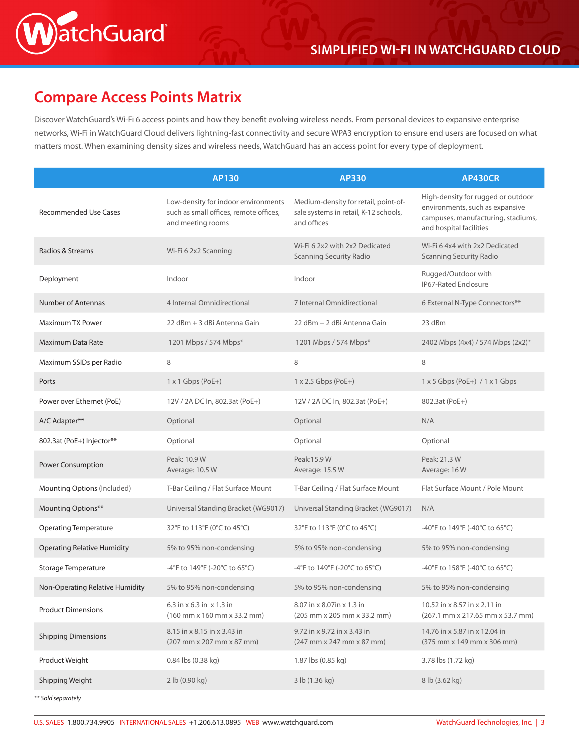

# **Compare Access Points Matrix**

atchGuard®

Discover WatchGuard's Wi-Fi 6 access points and how they benefit evolving wireless needs. From personal devices to expansive enterprise networks, Wi-Fi in WatchGuard Cloud delivers lightning-fast connectivity and secure WPA3 encryption to ensure end users are focused on what matters most. When examining density sizes and wireless needs, WatchGuard has an access point for every type of deployment.

|                                    | AP130                                                                                              | <b>AP330</b>                                                                                 | <b>AP430CR</b>                                                                                                                         |
|------------------------------------|----------------------------------------------------------------------------------------------------|----------------------------------------------------------------------------------------------|----------------------------------------------------------------------------------------------------------------------------------------|
| <b>Recommended Use Cases</b>       | Low-density for indoor environments<br>such as small offices, remote offices,<br>and meeting rooms | Medium-density for retail, point-of-<br>sale systems in retail, K-12 schools,<br>and offices | High-density for rugged or outdoor<br>environments, such as expansive<br>campuses, manufacturing, stadiums,<br>and hospital facilities |
| Radios & Streams                   | Wi-Fi 6 2x2 Scanning                                                                               | Wi-Fi 6 2x2 with 2x2 Dedicated<br><b>Scanning Security Radio</b>                             | Wi-Fi 6 4x4 with 2x2 Dedicated<br><b>Scanning Security Radio</b>                                                                       |
| Deployment                         | Indoor                                                                                             | Indoor                                                                                       | Rugged/Outdoor with<br><b>IP67-Rated Enclosure</b>                                                                                     |
| <b>Number of Antennas</b>          | 4 Internal Omnidirectional                                                                         | 7 Internal Omnidirectional                                                                   | 6 External N-Type Connectors**                                                                                                         |
| <b>Maximum TX Power</b>            | 22 dBm + 3 dBi Antenna Gain                                                                        | 22 dBm + 2 dBi Antenna Gain                                                                  | 23 dBm                                                                                                                                 |
| Maximum Data Rate                  | 1201 Mbps / 574 Mbps*                                                                              | 1201 Mbps / 574 Mbps*                                                                        | 2402 Mbps (4x4) / 574 Mbps (2x2)*                                                                                                      |
| Maximum SSIDs per Radio            | 8                                                                                                  | 8                                                                                            | 8                                                                                                                                      |
| Ports                              | $1 \times 1$ Gbps (PoE+)                                                                           | $1 \times 2.5$ Gbps (PoE+)                                                                   | $1 \times 5$ Gbps (PoE+) / $1 \times 1$ Gbps                                                                                           |
| Power over Ethernet (PoE)          | 12V / 2A DC In, 802.3at (PoE+)                                                                     | 12V / 2A DC In, 802.3at (PoE+)                                                               | 802.3at (PoE+)                                                                                                                         |
| A/C Adapter**                      | Optional                                                                                           | Optional                                                                                     | N/A                                                                                                                                    |
| 802.3at (PoE+) Injector**          | Optional                                                                                           | Optional                                                                                     | Optional                                                                                                                               |
| Power Consumption                  | Peak: 10.9 W<br>Average: 10.5 W                                                                    | Peak:15.9 W<br>Average: 15.5 W                                                               | Peak: 21.3 W<br>Average: 16W                                                                                                           |
| Mounting Options (Included)        | T-Bar Ceiling / Flat Surface Mount                                                                 | T-Bar Ceiling / Flat Surface Mount                                                           | Flat Surface Mount / Pole Mount                                                                                                        |
| Mounting Options**                 | Universal Standing Bracket (WG9017)                                                                | Universal Standing Bracket (WG9017)                                                          | N/A                                                                                                                                    |
| <b>Operating Temperature</b>       | 32°F to 113°F (0°C to 45°C)                                                                        | 32°F to 113°F (0°C to 45°C)                                                                  | -40°F to 149°F (-40°C to 65°C)                                                                                                         |
| <b>Operating Relative Humidity</b> | 5% to 95% non-condensing                                                                           | 5% to 95% non-condensing                                                                     | 5% to 95% non-condensing                                                                                                               |
| Storage Temperature                | -4°F to 149°F (-20°C to 65°C)                                                                      | -4°F to 149°F (-20°C to 65°C)                                                                | -40°F to 158°F (-40°C to 65°C)                                                                                                         |
| Non-Operating Relative Humidity    | 5% to 95% non-condensing                                                                           | 5% to 95% non-condensing                                                                     | 5% to 95% non-condensing                                                                                                               |
| <b>Product Dimensions</b>          | 6.3 in $\times$ 6.3 in $\times$ 1.3 in<br>$(160$ mm x $160$ mm x $33.2$ mm)                        | 8.07 in x 8.07 in x 1.3 in<br>(205 mm x 205 mm x 33.2 mm)                                    | 10.52 in x 8.57 in x 2.11 in<br>(267.1 mm x 217.65 mm x 53.7 mm)                                                                       |
| <b>Shipping Dimensions</b>         | 8.15 in x 8.15 in x 3.43 in<br>(207 mm x 207 mm x 87 mm)                                           | 9.72 in x 9.72 in x 3.43 in<br>(247 mm x 247 mm x 87 mm)                                     | 14.76 in x 5.87 in x 12.04 in<br>(375 mm x 149 mm x 306 mm)                                                                            |
| Product Weight                     | 0.84 lbs (0.38 kg)                                                                                 | 1.87 lbs (0.85 kg)                                                                           | 3.78 lbs (1.72 kg)                                                                                                                     |
| Shipping Weight                    | 2 lb (0.90 kg)                                                                                     | 3 lb (1.36 kg)                                                                               | 8 lb (3.62 kg)                                                                                                                         |

*\*\* Sold separately*